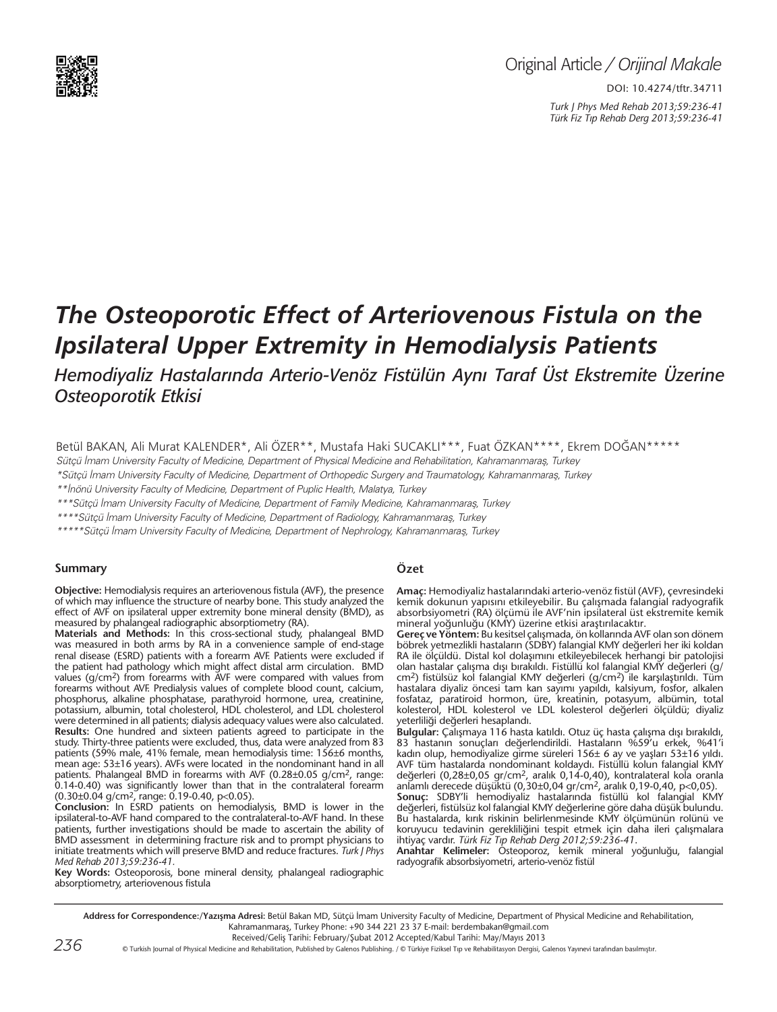

# Original Article */ Orijinal Makale*

DOI: 10.4274/tftr.34711 *Turk J Phys Med Rehab 2013;59:236-41 Türk Fiz T›p Rehab Derg 2013;59:236-41*

# *The Osteoporotic Effect of Arteriovenous Fistula on the Ipsilateral Upper Extremity in Hemodialysis Patients*

*Hemodiyaliz Hastalarında Arterio-Venöz Fistülün Aynı Taraf Üst Ekstremite Üzerine Osteoporotik Etkisi*

Betül BAKAN, Ali Murat KALENDER\*, Ali ÖZER\*\*, Mustafa Haki SUCAKLI\*\*\*, Fuat ÖZKAN\*\*\*\*, Ekrem DOĞAN\*\*\*\*\*

Sütçü İmam University Faculty of Medicine, Department of Physical Medicine and Rehabilitation, Kahramanmaraş, Turkey

\*Sütçü İmam University Faculty of Medicine, Department of Orthopedic Surgery and Traumatology, Kahramanmaraş, Turkey

\*\*İnönü University Faculty of Medicine, Department of Puplic Health, Malatya, Turkey

\*\*\*Sütçü İmam University Faculty of Medicine, Department of Family Medicine, Kahramanmaraş, Turkey

\*\*\*\*Sütçü İmam University Faculty of Medicine, Department of Radiology, Kahramanmaraş, Turkey

\*\*\*\*\*Sütçü İmam University Faculty of Medicine, Department of Nephrology, Kahramanmaraş, Turkey

#### **Summary**

**Objective:** Hemodialysis requires an arteriovenous fistula (AVF), the presence of which may influence the structure of nearby bone. This study analyzed the effect of AVF on ipsilateral upper extremity bone mineral density (BMD), as measured by phalangeal radiographic absorptiometry (RA).

**Materials and Methods:** In this cross-sectional study, phalangeal BMD was measured in both arms by RA in a convenience sample of end-stage renal disease (ESRD) patients with a forearm AVF. Patients were excluded if the patient had pathology which might affect distal arm circulation. BMD values (g/cm2) from forearms with AVF were compared with values from forearms without AVF. Predialysis values of complete blood count, calcium, phosphorus, alkaline phosphatase, parathyroid hormone, urea, creatinine, potassium, albumin, total cholesterol, HDL cholesterol, and LDL cholesterol were determined in all patients; dialysis adequacy values were also calculated. **Results:** One hundred and sixteen patients agreed to participate in the study. Thirty-three patients were excluded, thus, data were analyzed from 83 patients (59% male, 41% female, mean hemodialysis time: 156±6 months, mean age: 53±16 years). AVFs were located in the nondominant hand in all patients. Phalangeal BMD in forearms with AVF (0.28±0.05 g/cm2, range: 0.14-0.40) was significantly lower than that in the contralateral forearm  $(0.30\pm0.04 \text{ g/cm}^2, \text{range: } 0.19\text{-}0.40, \text{p} < 0.05).$ 

**Conclusion:** In ESRD patients on hemodialysis, BMD is lower in the ipsilateral-to-AVF hand compared to the contralateral-to-AVF hand. In these patients, further investigations should be made to ascertain the ability of BMD assessment in determining fracture risk and to prompt physicians to initiate treatments which will preserve BMD and reduce fractures. *Turk J Phys Med Rehab 2013;59:236-41.*

**Key Words:** Osteoporosis, bone mineral density, phalangeal radiographic absorptiometry, arteriovenous fistula

#### **Özet**

**Amaç:** Hemodiyaliz hastalarındaki arterio-venöz fistül (AVF), çevresindeki kemik dokunun yapısını etkileyebilir. Bu çalışmada falangial radyografik absorbsiyometri (RA) ölçümü ile AVF'nin ipsilateral üst ekstremite kemik mineral yoğunluğu (KMY) üzerine etkisi araştırılacaktır.

**Gereç ve Yöntem:** Bu kesitsel çalışmada, ön kollarında AVF olan son dönem böbrek yetmezlikli hastaların (SDBY) falangial KMY değerleri her iki koldan RA ile ölçüldü. Distal kol dolaşımını etkileyebilecek herhangi bir patolojisi olan hastalar çalışma dışı bırakıldı. Fistüllü kol falangial KMY değerleri (g/ cm2) fistülsüz kol falangial KMY değerleri (g/cm2) ile karşılaştırıldı. Tüm hastalara diyaliz öncesi tam kan sayımı yapıldı, kalsiyum, fosfor, alkalen fosfataz, paratiroid hormon, üre, kreatinin, potasyum, albümin, total kolesterol, HDL kolesterol ve LDL kolesterol değerleri ölçüldü; diyaliz yeterliliği değerleri hesaplandı.

**Bulgular:** Çalışmaya 116 hasta katıldı. Otuz üç hasta çalışma dışı bırakıldı, 83 hastanın sonuçları değerlendirildi. Hastaların %59'u erkek, %41'i kadın olup, hemodiyalize girme süreleri 156± 6 ay ve yaşları 53±16 yıldı. AVF tüm hastalarda nondominant koldaydı. Fistüllü kolun falangial KMY değerleri (0,28±0,05 gr/cm2, aralık 0,14-0,40), kontralateral kola oranla anlamlı derecede düşüktü (0,30±0,04 gr/cm2, aralık 0,19-0,40, p<0,05).

**Sonuç:** SDBY'li hemodiyaliz hastalarında fistüllü kol falangial KMY değerleri, fistülsüz kol falangial KMY değerlerine göre daha düşük bulundu. Bu hastalarda, kırık riskinin belirlenmesinde KMY ölçümünün rolünü ve koruyucu tedavinin gerekliliğini tespit etmek için daha ileri çalışmalara ihtiyaç vardır. *Türk Fiz T›p Rehab Derg 2012;59:236-41*.

**Anahtar Kelimeler:** Osteoporoz, kemik mineral yoğunluğu, falangial radyografik absorbsiyometri, arterio-venöz fistül

Address for Correspondence:/Yazışma Adresi: Betül Bakan MD, Sütçü İmam University Faculty of Medicine, Department of Physical Medicine and Rehabilitation, Kahramanmaraş, Turkey Phone: +90 344 221 23 37 E-mail: berdembakan@gmail.com

Received/Geliş Tarihi: February/Şubat 2012 Accepted/Kabul Tarihi: May/Mayıs 2013

© Turkish Journal of Physical Medicine and Rehabilitation, Published by Galenos Publishing. / © Türkiye Fiziksel Tıp ve Rehabilitasyon Dergisi, Galenos Yayınevi tarafından basılmıştır.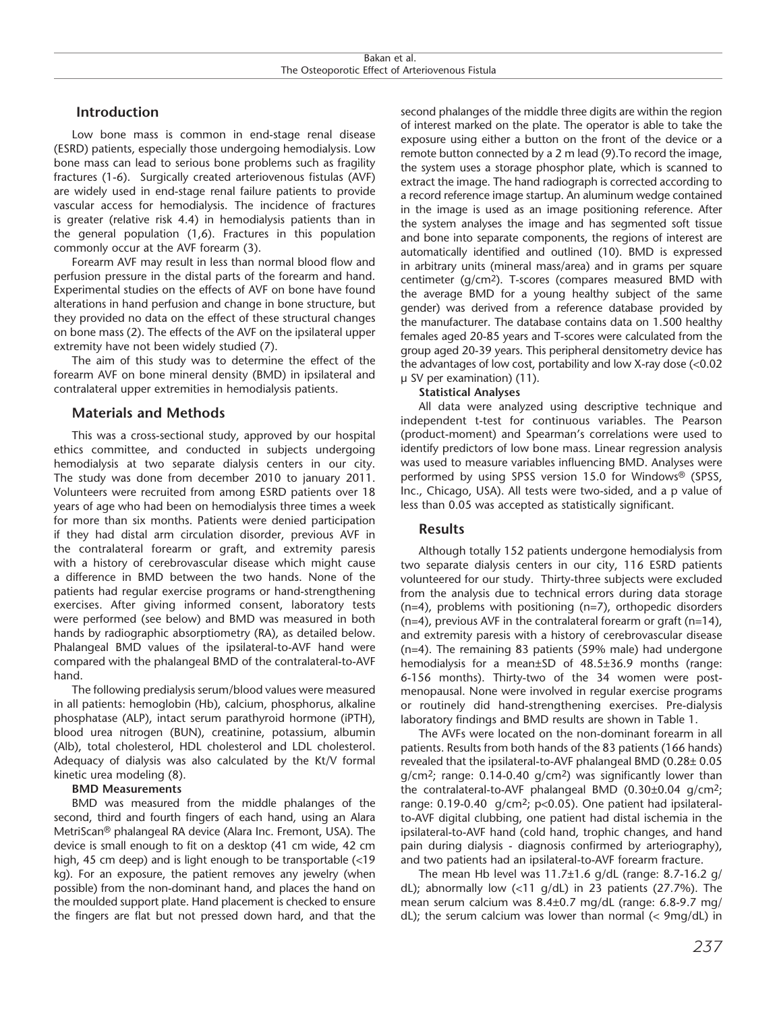# **Introduction**

Low bone mass is common in end-stage renal disease (ESRD) patients, especially those undergoing hemodialysis. Low bone mass can lead to serious bone problems such as fragility fractures (1-6). Surgically created arteriovenous fistulas (AVF) are widely used in end-stage renal failure patients to provide vascular access for hemodialysis. The incidence of fractures is greater (relative risk 4.4) in hemodialysis patients than in the general population (1,6). Fractures in this population commonly occur at the AVF forearm (3).

Forearm AVF may result in less than normal blood flow and perfusion pressure in the distal parts of the forearm and hand. Experimental studies on the effects of AVF on bone have found alterations in hand perfusion and change in bone structure, but they provided no data on the effect of these structural changes on bone mass (2). The effects of the AVF on the ipsilateral upper extremity have not been widely studied (7).

The aim of this study was to determine the effect of the forearm AVF on bone mineral density (BMD) in ipsilateral and contralateral upper extremities in hemodialysis patients.

# **Materials and Methods**

This was a cross-sectional study, approved by our hospital ethics committee, and conducted in subjects undergoing hemodialysis at two separate dialysis centers in our city. The study was done from december 2010 to january 2011. Volunteers were recruited from among ESRD patients over 18 years of age who had been on hemodialysis three times a week for more than six months. Patients were denied participation if they had distal arm circulation disorder, previous AVF in the contralateral forearm or graft, and extremity paresis with a history of cerebrovascular disease which might cause a difference in BMD between the two hands. None of the patients had regular exercise programs or hand-strengthening exercises. After giving informed consent, laboratory tests were performed (see below) and BMD was measured in both hands by radiographic absorptiometry (RA), as detailed below. Phalangeal BMD values of the ipsilateral-to-AVF hand were compared with the phalangeal BMD of the contralateral-to-AVF hand.

The following predialysis serum/blood values were measured in all patients: hemoglobin (Hb), calcium, phosphorus, alkaline phosphatase (ALP), intact serum parathyroid hormone (iPTH), blood urea nitrogen (BUN), creatinine, potassium, albumin (Alb), total cholesterol, HDL cholesterol and LDL cholesterol. Adequacy of dialysis was also calculated by the Kt/V formal kinetic urea modeling (8).

#### **BMD Measurements**

BMD was measured from the middle phalanges of the second, third and fourth fingers of each hand, using an Alara MetriScan® phalangeal RA device (Alara Inc. Fremont, USA). The device is small enough to fit on a desktop (41 cm wide, 42 cm high, 45 cm deep) and is light enough to be transportable (<19 kg). For an exposure, the patient removes any jewelry (when possible) from the non-dominant hand, and places the hand on the moulded support plate. Hand placement is checked to ensure the fingers are flat but not pressed down hard, and that the second phalanges of the middle three digits are within the region of interest marked on the plate. The operator is able to take the exposure using either a button on the front of the device or a remote button connected by a 2 m lead (9).To record the image, the system uses a storage phosphor plate, which is scanned to extract the image. The hand radiograph is corrected according to a record reference image startup. An aluminum wedge contained in the image is used as an image positioning reference. After the system analyses the image and has segmented soft tissue and bone into separate components, the regions of interest are automatically identified and outlined (10). BMD is expressed in arbitrary units (mineral mass/area) and in grams per square centimeter (g/cm2). T-scores (compares measured BMD with the average BMD for a young healthy subject of the same gender) was derived from a reference database provided by the manufacturer. The database contains data on 1.500 healthy females aged 20-85 years and T-scores were calculated from the group aged 20-39 years. This peripheral densitometry device has the advantages of low cost, portability and low X-ray dose (<0.02 µ SV per examination) (11).

#### **Statistical Analyses**

All data were analyzed using descriptive technique and independent t-test for continuous variables. The Pearson (product-moment) and Spearman's correlations were used to identify predictors of low bone mass. Linear regression analysis was used to measure variables influencing BMD. Analyses were performed by using SPSS version 15.0 for Windows® (SPSS, Inc., Chicago, USA). All tests were two-sided, and a p value of less than 0.05 was accepted as statistically significant.

# **Results**

Although totally 152 patients undergone hemodialysis from two separate dialysis centers in our city, 116 ESRD patients volunteered for our study. Thirty-three subjects were excluded from the analysis due to technical errors during data storage (n=4), problems with positioning (n=7), orthopedic disorders (n=4), previous AVF in the contralateral forearm or graft (n=14), and extremity paresis with a history of cerebrovascular disease (n=4). The remaining 83 patients (59% male) had undergone hemodialysis for a mean±SD of 48.5±36.9 months (range: 6-156 months). Thirty-two of the 34 women were postmenopausal. None were involved in regular exercise programs or routinely did hand-strengthening exercises. Pre-dialysis laboratory findings and BMD results are shown in Table 1.

The AVFs were located on the non-dominant forearm in all patients. Results from both hands of the 83 patients (166 hands) revealed that the ipsilateral-to-AVF phalangeal BMD (0.28± 0.05 g/cm2; range: 0.14-0.40 g/cm2) was significantly lower than the contralateral-to-AVF phalangeal BMD  $(0.30\pm0.04 \text{ g/cm}^2)$ range: 0.19-0.40 g/cm2; p<0.05). One patient had ipsilateralto-AVF digital clubbing, one patient had distal ischemia in the ipsilateral-to-AVF hand (cold hand, trophic changes, and hand pain during dialysis - diagnosis confirmed by arteriography), and two patients had an ipsilateral-to-AVF forearm fracture.

The mean Hb level was  $11.7\pm1.6$  g/dL (range: 8.7-16.2 g/ dL); abnormally low (<11 g/dL) in 23 patients (27.7%). The mean serum calcium was 8.4±0.7 mg/dL (range: 6.8-9.7 mg/ dL); the serum calcium was lower than normal (< 9mg/dL) in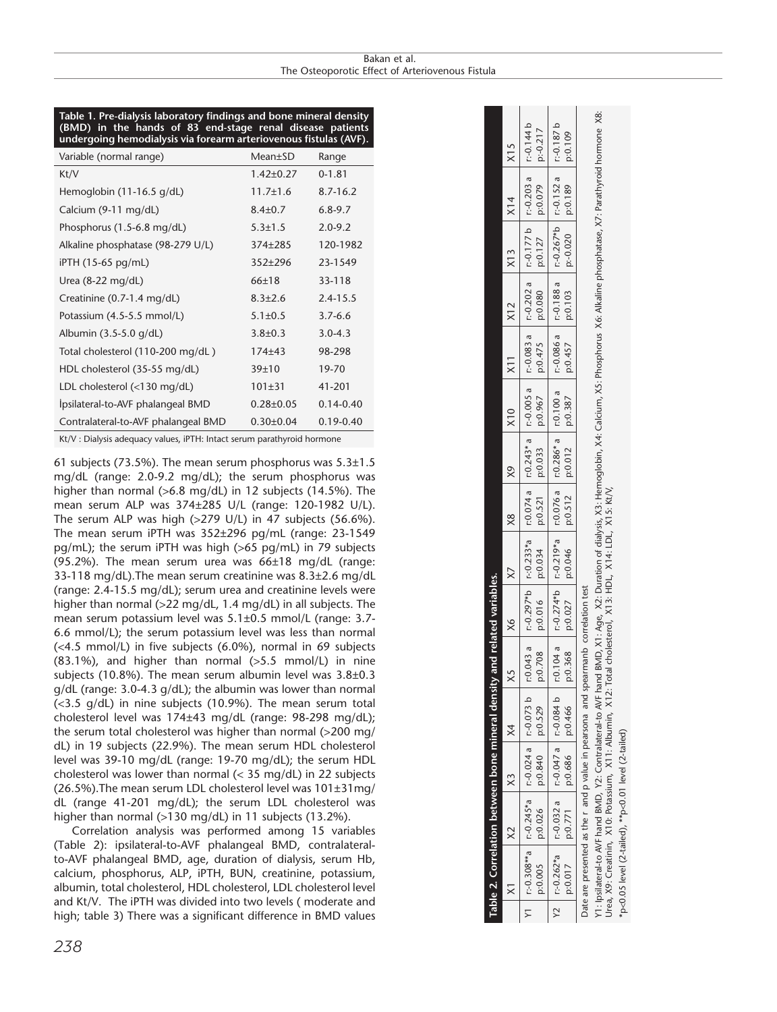#### Rakan et al. Bakan et al.<br>The Osteoporotic Effect of Arteriovenous Fistula

#### **Table 1. Pre-dialysis laboratory findings and bone mineral density (BMD) in the hands of 83 end-stage renal disease patients undergoing hemodialysis via forearm arteriovenous fistulas (AVF).**

| Variable (normal range)              | $Mean \pm SD$   | Range         |
|--------------------------------------|-----------------|---------------|
| Kt/V                                 | $1.42 \pm 0.27$ | $0 - 1.81$    |
| Hemoglobin $(11-16.5 \text{ g/dL})$  | $11.7 \pm 1.6$  | $8.7 - 16.2$  |
| Calcium (9-11 mg/dL)                 | $8.4 \pm 0.7$   | $6.8 - 9.7$   |
| Phosphorus $(1.5-6.8 \text{ mg/dL})$ | $5.3 \pm 1.5$   | $2.0 - 9.2$   |
| Alkaline phosphatase (98-279 U/L)    | $374 + 285$     | 120-1982      |
| iPTH (15-65 pg/mL)                   | $352+296$       | 23-1549       |
| Urea $(8-22 \text{ mg/dL})$          | 66±18           | 33-118        |
| Creatinine $(0.7-1.4 \text{ mg/dL})$ | $8.3 \pm 2.6$   | $2.4 - 15.5$  |
| Potassium (4.5-5.5 mmol/L)           | $5.1 \pm 0.5$   | $3.7 - 6.6$   |
| Albumin (3.5-5.0 g/dL)               | $3.8 \pm 0.3$   | $3.0 - 4.3$   |
| Total cholesterol (110-200 mg/dL)    | $174 + 43$      | 98-298        |
| HDL cholesterol (35-55 mg/dL)        | 39±10           | 19-70         |
| LDL cholesterol $(<130$ mg/dL)       | $101 \pm 31$    | 41-201        |
| Ipsilateral-to-AVF phalangeal BMD    | $0.28 \pm 0.05$ | $0.14 - 0.40$ |
| Contralateral-to-AVF phalangeal BMD  | $0.30 \pm 0.04$ | $0.19 - 0.40$ |

Kt/V : Dialysis adequacy values, iPTH: Intact serum parathyroid hormone

61 subjects (73.5%). The mean serum phosphorus was  $5.3\pm1.5$ mg/dL (range: 2.0-9.2 mg/dL); the serum phosphorus was higher than normal (>6.8 mg/dL) in 12 subjects (14.5%). The mean serum ALP was 374±285 U/L (range: 120-1982 U/L). The serum ALP was high  $(>279 \text{ U/L})$  in 47 subjects  $(56.6\%)$ . The mean serum iPTH was 352±296 pg/mL (range: 23-1549 pg/mL); the serum iPTH was high (>65 pg/mL) in 79 subjects (95.2%). The mean serum urea was  $66\pm18$  mg/dL (range: 33-118 mg/dL).The mean serum creatinine was 8.3±2.6 mg/dL (range: 2.4-15.5 mg/dL); serum urea and creatinine levels were higher than normal (>22 mg/dL, 1.4 mg/dL) in all subjects. The mean serum potassium level was 5.1±0.5 mmol/L (range: 3.7- 6.6 mmol/L); the serum potassium level was less than normal (<4.5 mmol/L) in five subjects (6.0%), normal in 69 subjects (83.1%), and higher than normal (>5.5 mmol/L) in nine subjects (10.8%). The mean serum albumin level was 3.8±0.3 g/dL (range: 3.0-4.3 g/dL); the albumin was lower than normal (<3.5 g/dL) in nine subjects (10.9%). The mean serum total cholesterol level was 174±43 mg/dL (range: 98-298 mg/dL); the serum total cholesterol was higher than normal (>200 mg/ dL) in 19 subjects (22.9%). The mean serum HDL cholesterol level was 39-10 mg/dL (range: 19-70 mg/dL); the serum HDL cholesterol was lower than normal (< 35 mg/dL) in 22 subjects (26.5%).The mean serum LDL cholesterol level was 101±31mg/ dL (range 41-201 mg/dL); the serum LDL cholesterol was higher than normal (>130 mg/dL) in 11 subjects (13.2%).

Correlation analysis was performed among 15 variables (Table 2): ipsilateral-to-AVF phalangeal BMD, contralateralto-AVF phalangeal BMD, age, duration of dialysis, serum Hb, calcium, phosphorus, ALP, iPTH, BUN, creatinine, potassium, albumin, total cholesterol, HDL cholesterol, LDL cholesterol level and Kt/V. The iPTH was divided into two levels ( moderate and high; table 3) There was a significant difference in BMD values

|          |                                       | Table 2. Correlation between bone mineral density and related variables.                                                                                                                                    |                                                                                 |  |  |  |                                        |                                                                                                                                           |
|----------|---------------------------------------|-------------------------------------------------------------------------------------------------------------------------------------------------------------------------------------------------------------|---------------------------------------------------------------------------------|--|--|--|----------------------------------------|-------------------------------------------------------------------------------------------------------------------------------------------|
| $\times$ | $ X2 \t  X3$ $ X4$                    |                                                                                                                                                                                                             |                                                                                 |  |  |  |                                        |                                                                                                                                           |
|          | p:0.005 $p:0.026$ $p:0.840$ $p:0.529$ | 11.0.308**a   1.0.243*a   1.0.024 a   1.0.073   1.0.297*b   1.0.233*a   1.0.243   1.0.24 a   1.0.083   1.0.083 a   1.0.220 a   1.0.203 a   1.0.14 b                                                         |                                                                                 |  |  |  |                                        | $ p: -0.217$                                                                                                                              |
|          |                                       | 12810-a   1-0.032°a   1-0.047°a   1-0.084°b   1-0.274°b   1-0.076°a   1-0.076°a   1-0.286°a   1-0.088°a   1-0.188°a   1-0.07°b   1-0.037°b   1-0.187°b<br>$p: 0.017$   $p: 0.771$   $p: 0.686$   $p: 0.466$ | $0.368$   $p:0.027$   $p:0.046$   $p:0.312$   $p:0.387$   $p:0.457$   $p:0.103$ |  |  |  | $ p: 0.020 $ $ p: 0.189 $ $ p: 0.109 $ |                                                                                                                                           |
|          |                                       | Date are presented as the r and p value in pearsona and spearmanb correlation test<br>Y1: Ipsilateral-to AVF hand BMD, Y2: Contralateral-to AVF hand                                                        |                                                                                 |  |  |  |                                        | BMD, X1: Aqe, X2: Duration of dialysis, X3: Hemoglobin, X4: Calcium, X5: Phosphorus X6: Alkaline phosphatase, X7: Parathyroid hormone X8: |

Urea, X9: Creatinin, X10: Potassium, X11: Albumin, X12: Total cholesterol, X13: HDL, X14: LDL, X15: Kt/V, Jrea, X9: Creatinin, X10: Potassium, X11: Albumin, X12: Total cholesterol, X13: HDL, X14: LDL, X15: Kt/V,

\*p<0.05 level (2-tailed), \*\*p<0.01 level (2-tailed) p<0.05 level (2-tailed), \*\*p<0.01 level (2-tailed)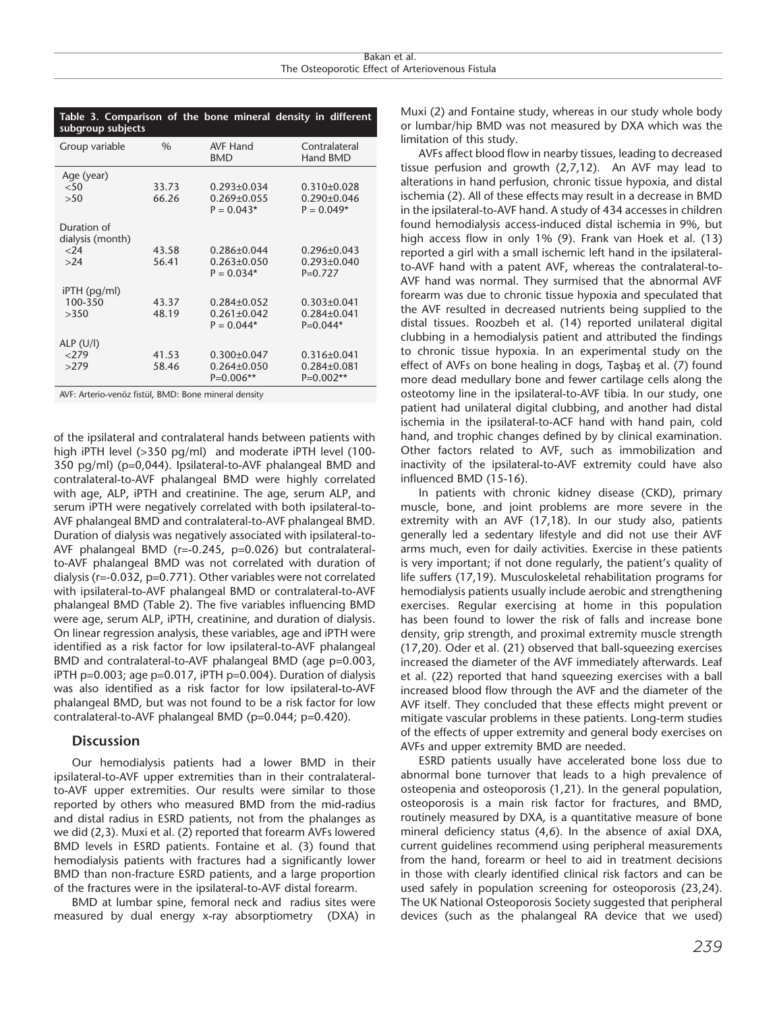| Table 3. Comparison of the bone mineral density in different<br>subgroup subjects |       |                                   |                                |  |
|-----------------------------------------------------------------------------------|-------|-----------------------------------|--------------------------------|--|
| Group variable                                                                    | $\%$  | <b>AVF Hand</b><br><b>BMD</b>     | Contralateral<br>Hand BMD      |  |
| Age (year)                                                                        |       |                                   |                                |  |
| $<$ 50                                                                            | 33.73 | $0.293 \pm 0.034$                 | $0.310\pm0.028$                |  |
| >50                                                                               | 66.26 | $0.269 \pm 0.055$                 | $0.290 \pm 0.046$              |  |
|                                                                                   |       | $P = 0.043*$                      | $P = 0.049*$                   |  |
| Duration of<br>dialysis (month)                                                   |       |                                   |                                |  |
| $<$ 24                                                                            | 43.58 | $0.286 \pm 0.044$                 | $0.296 \pm 0.043$              |  |
| >24                                                                               | 56.41 | $0.263 \pm 0.050$<br>$P = 0.034*$ | $0.293 \pm 0.040$<br>$P=0.727$ |  |
| iPTH (pg/ml)                                                                      |       |                                   |                                |  |
| 100-350                                                                           | 43.37 | $0.284 \pm 0.052$                 | $0.303 \pm 0.041$              |  |
| >350                                                                              | 48.19 | $0.261 \pm 0.042$                 | $0.284 \pm 0.041$              |  |
|                                                                                   |       | $P = 0.044*$                      | $P=0.044*$                     |  |
| ALP $(U/I)$                                                                       |       |                                   |                                |  |
| 279                                                                               | 41.53 | $0.300 \pm 0.047$                 | $0.316 \pm 0.041$              |  |
| >279                                                                              | 58.46 | $0.264 \pm 0.050$                 | $0.284 \pm 0.081$              |  |
|                                                                                   |       | $P=0.006**$                       | $P=0.002**$                    |  |
| AVE: Arterio-venoz fistijl RMD: Rone mineral density                              |       |                                   |                                |  |

AVF: Arterio-venöz fistül, BMD: Bone mineral density

of the ipsilateral and contralateral hands between patients with high iPTH level (>350 pg/ml) and moderate iPTH level (100- 350 pg/ml) (p=0,044). Ipsilateral-to-AVF phalangeal BMD and contralateral-to-AVF phalangeal BMD were highly correlated with age, ALP, iPTH and creatinine. The age, serum ALP, and serum iPTH were negatively correlated with both ipsilateral-to-AVF phalangeal BMD and contralateral-to-AVF phalangeal BMD. Duration of dialysis was negatively associated with ipsilateral-to-AVF phalangeal BMD (r=-0.245, p=0.026) but contralateralto-AVF phalangeal BMD was not correlated with duration of dialysis (r=-0.032, p=0.771). Other variables were not correlated with ipsilateral-to-AVF phalangeal BMD or contralateral-to-AVF phalangeal BMD (Table 2). The five variables influencing BMD were age, serum ALP, iPTH, creatinine, and duration of dialysis. On linear regression analysis, these variables, age and iPTH were identified as a risk factor for low ipsilateral-to-AVF phalangeal BMD and contralateral-to-AVF phalangeal BMD (age p=0.003, iPTH p=0.003; age p=0.017, iPTH p=0.004). Duration of dialysis was also identified as a risk factor for low ipsilateral-to-AVF phalangeal BMD, but was not found to be a risk factor for low contralateral-to-AVF phalangeal BMD (p=0.044; p=0.420).

# **Discussion**

Our hemodialysis patients had a lower BMD in their ipsilateral-to-AVF upper extremities than in their contralateralto-AVF upper extremities. Our results were similar to those reported by others who measured BMD from the mid-radius and distal radius in ESRD patients, not from the phalanges as we did (2,3). Muxi et al. (2) reported that forearm AVFs lowered BMD levels in ESRD patients. Fontaine et al. (3) found that hemodialysis patients with fractures had a significantly lower BMD than non-fracture ESRD patients, and a large proportion of the fractures were in the ipsilateral-to-AVF distal forearm.

BMD at lumbar spine, femoral neck and radius sites were measured by dual energy x-ray absorptiometry (DXA) in Muxi (2) and Fontaine study, whereas in our study whole body or lumbar/hip BMD was not measured by DXA which was the limitation of this study.

AVFs affect blood flow in nearby tissues, leading to decreased tissue perfusion and growth (2,7,12). An AVF may lead to alterations in hand perfusion, chronic tissue hypoxia, and distal ischemia (2). All of these effects may result in a decrease in BMD in the ipsilateral-to-AVF hand. A study of 434 accesses in children found hemodialysis access-induced distal ischemia in 9%, but high access flow in only 1% (9). Frank van Hoek et al. (13) reported a girl with a small ischemic left hand in the ipsilateralto-AVF hand with a patent AVF, whereas the contralateral-to-AVF hand was normal. They surmised that the abnormal AVF forearm was due to chronic tissue hypoxia and speculated that the AVF resulted in decreased nutrients being supplied to the distal tissues. Roozbeh et al. (14) reported unilateral digital clubbing in a hemodialysis patient and attributed the findings to chronic tissue hypoxia. In an experimental study on the effect of AVFs on bone healing in dogs, Taşbaş et al. (7) found more dead medullary bone and fewer cartilage cells along the osteotomy line in the ipsilateral-to-AVF tibia. In our study, one patient had unilateral digital clubbing, and another had distal ischemia in the ipsilateral-to-ACF hand with hand pain, cold hand, and trophic changes defined by by clinical examination. Other factors related to AVF, such as immobilization and inactivity of the ipsilateral-to-AVF extremity could have also influenced BMD (15-16).

In patients with chronic kidney disease (CKD), primary muscle, bone, and joint problems are more severe in the extremity with an AVF (17,18). In our study also, patients generally led a sedentary lifestyle and did not use their AVF arms much, even for daily activities. Exercise in these patients is very important; if not done regularly, the patient's quality of life suffers (17,19). Musculoskeletal rehabilitation programs for hemodialysis patients usually include aerobic and strengthening exercises. Regular exercising at home in this population has been found to lower the risk of falls and increase bone density, grip strength, and proximal extremity muscle strength (17,20). Oder et al. (21) observed that ball-squeezing exercises increased the diameter of the AVF immediately afterwards. Leaf et al. (22) reported that hand squeezing exercises with a ball increased blood flow through the AVF and the diameter of the AVF itself. They concluded that these effects might prevent or mitigate vascular problems in these patients. Long-term studies of the effects of upper extremity and general body exercises on AVFs and upper extremity BMD are needed.

ESRD patients usually have accelerated bone loss due to abnormal bone turnover that leads to a high prevalence of osteopenia and osteoporosis (1,21). In the general population, osteoporosis is a main risk factor for fractures, and BMD, routinely measured by DXA, is a quantitative measure of bone mineral deficiency status (4,6). In the absence of axial DXA, current guidelines recommend using peripheral measurements from the hand, forearm or heel to aid in treatment decisions in those with clearly identified clinical risk factors and can be used safely in population screening for osteoporosis (23,24). The UK National Osteoporosis Society suggested that peripheral devices (such as the phalangeal RA device that we used)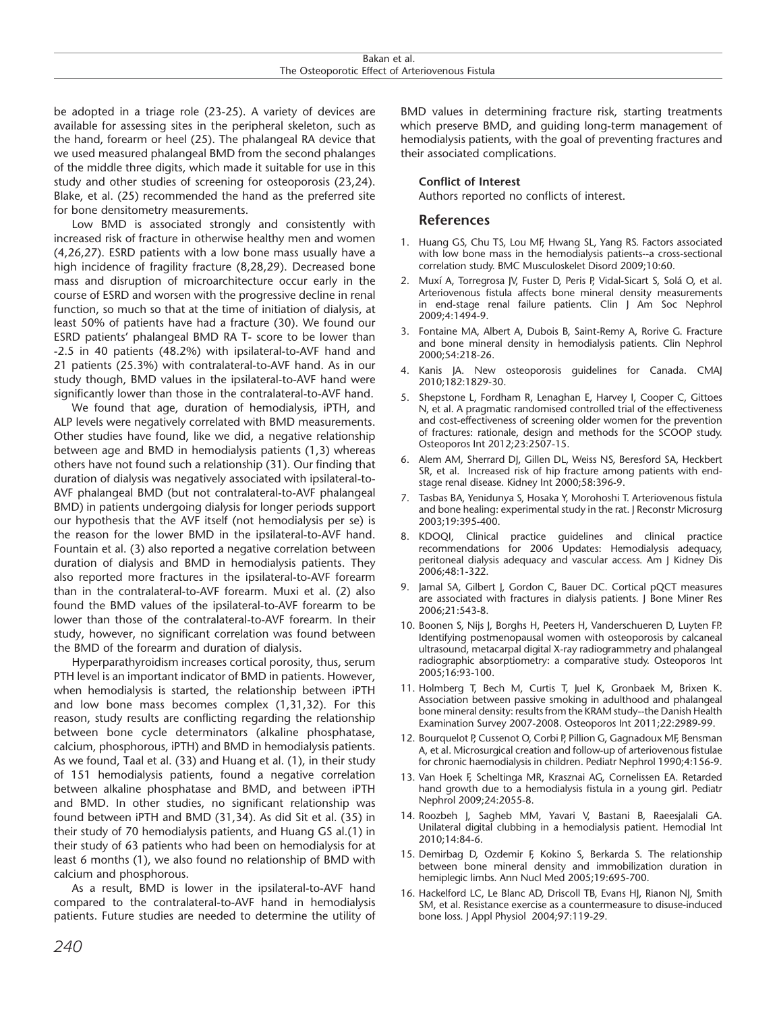be adopted in a triage role (23-25). A variety of devices are available for assessing sites in the peripheral skeleton, such as the hand, forearm or heel (25). The phalangeal RA device that we used measured phalangeal BMD from the second phalanges of the middle three digits, which made it suitable for use in this study and other studies of screening for osteoporosis (23,24). Blake, et al. (25) recommended the hand as the preferred site for bone densitometry measurements.

Low BMD is associated strongly and consistently with increased risk of fracture in otherwise healthy men and women (4,26,27). ESRD patients with a low bone mass usually have a high incidence of fragility fracture (8,28,29). Decreased bone mass and disruption of microarchitecture occur early in the course of ESRD and worsen with the progressive decline in renal function, so much so that at the time of initiation of dialysis, at least 50% of patients have had a fracture (30). We found our ESRD patients' phalangeal BMD RA T- score to be lower than -2.5 in 40 patients (48.2%) with ipsilateral-to-AVF hand and 21 patients (25.3%) with contralateral-to-AVF hand. As in our study though, BMD values in the ipsilateral-to-AVF hand were significantly lower than those in the contralateral-to-AVF hand.

We found that age, duration of hemodialysis, iPTH, and ALP levels were negatively correlated with BMD measurements. Other studies have found, like we did, a negative relationship between age and BMD in hemodialysis patients (1,3) whereas others have not found such a relationship (31). Our finding that duration of dialysis was negatively associated with ipsilateral-to-AVF phalangeal BMD (but not contralateral-to-AVF phalangeal BMD) in patients undergoing dialysis for longer periods support our hypothesis that the AVF itself (not hemodialysis per se) is the reason for the lower BMD in the ipsilateral-to-AVF hand. Fountain et al. (3) also reported a negative correlation between duration of dialysis and BMD in hemodialysis patients. They also reported more fractures in the ipsilateral-to-AVF forearm than in the contralateral-to-AVF forearm. Muxi et al. (2) also found the BMD values of the ipsilateral-to-AVF forearm to be lower than those of the contralateral-to-AVF forearm. In their study, however, no significant correlation was found between the BMD of the forearm and duration of dialysis.

Hyperparathyroidism increases cortical porosity, thus, serum PTH level is an important indicator of BMD in patients. However, when hemodialysis is started, the relationship between iPTH and low bone mass becomes complex (1,31,32). For this reason, study results are conflicting regarding the relationship between bone cycle determinators (alkaline phosphatase, calcium, phosphorous, iPTH) and BMD in hemodialysis patients. As we found, Taal et al. (33) and Huang et al. (1), in their study of 151 hemodialysis patients, found a negative correlation between alkaline phosphatase and BMD, and between iPTH and BMD. In other studies, no significant relationship was found between iPTH and BMD (31,34). As did Sit et al. (35) in their study of 70 hemodialysis patients, and Huang GS al.(1) in their study of 63 patients who had been on hemodialysis for at least 6 months (1), we also found no relationship of BMD with calcium and phosphorous.

As a result, BMD is lower in the ipsilateral-to-AVF hand compared to the contralateral-to-AVF hand in hemodialysis patients. Future studies are needed to determine the utility of BMD values in determining fracture risk, starting treatments which preserve BMD, and guiding long-term management of hemodialysis patients, with the goal of preventing fractures and their associated complications.

#### **Conflict of Interest**

Authors reported no conflicts of interest.

#### **References**

- 1. Huang GS, Chu TS, Lou MF, Hwang SL, Yang RS. Factors associated with low bone mass in the hemodialysis patients--a cross-sectional correlation study. BMC Musculoskelet Disord 2009;10:60.
- 2. Muxí A, Torregrosa JV, Fuster D, Peris P, Vidal-Sicart S, Solá O, et al. Arteriovenous fistula affects bone mineral density measurements in end-stage renal failure patients. Clin J Am Soc Nephrol 2009;4:1494-9.
- 3. Fontaine MA, Albert A, Dubois B, Saint-Remy A, Rorive G. Fracture and bone mineral density in hemodialysis patients. Clin Nephrol 2000;54:218-26.
- 4. Kanis JA. New osteoporosis guidelines for Canada. CMAJ 2010;182:1829-30.
- 5. Shepstone L, Fordham R, Lenaghan E, Harvey I, Cooper C, Gittoes N, et al. A pragmatic randomised controlled trial of the effectiveness and cost-effectiveness of screening older women for the prevention of fractures: rationale, design and methods for the SCOOP study. Osteoporos Int 2012;23:2507-15.
- 6. Alem AM, Sherrard DJ, Gillen DL, Weiss NS, Beresford SA, Heckbert SR, et al. Increased risk of hip fracture among patients with endstage renal disease. Kidney Int 2000;58:396-9.
- 7. Tasbas BA, Yenidunya S, Hosaka Y, Morohoshi T. Arteriovenous fistula and bone healing: experimental study in the rat. J Reconstr Microsurg 2003;19:395-400.
- 8. KDOQI, Clinical practice guidelines and clinical practice recommendations for 2006 Updates: Hemodialysis adequacy, peritoneal dialysis adequacy and vascular access. Am J Kidney Dis 2006;48:1-322.
- 9. Jamal SA, Gilbert J, Gordon C, Bauer DC. Cortical pQCT measures are associated with fractures in dialysis patients. J Bone Miner Res 2006;21:543-8.
- 10. Boonen S, Nijs J, Borghs H, Peeters H, Vanderschueren D, Luyten FP. Identifying postmenopausal women with osteoporosis by calcaneal ultrasound, metacarpal digital X-ray radiogrammetry and phalangeal radiographic absorptiometry: a comparative study. Osteoporos Int 2005;16:93-100.
- 11. Holmberg T, Bech M, Curtis T, Juel K, Gronbaek M, Brixen K. Association between passive smoking in adulthood and phalangeal bone mineral density: results from the KRAM study--the Danish Health Examination Survey 2007-2008. Osteoporos Int 2011;22:2989-99.
- 12. Bourquelot P, Cussenot O, Corbi P, Pillion G, Gagnadoux MF, Bensman A, et al. Microsurgical creation and follow-up of arteriovenous fistulae for chronic haemodialysis in children. Pediatr Nephrol 1990;4:156-9.
- 13. Van Hoek F, Scheltinga MR, Krasznai AG, Cornelissen EA. Retarded hand growth due to a hemodialysis fistula in a young girl. Pediatr Nephrol 2009;24:2055-8.
- 14. Roozbeh J, Sagheb MM, Yavari V, Bastani B, Raeesjalali GA. Unilateral digital clubbing in a hemodialysis patient. Hemodial Int 2010;14:84-6.
- 15. Demirbag D, Ozdemir F, Kokino S, Berkarda S. The relationship between bone mineral density and immobilization duration in hemiplegic limbs. Ann Nucl Med 2005;19:695-700.
- 16. Hackelford LC, Le Blanc AD, Driscoll TB, Evans HJ, Rianon NJ, Smith SM, et al. Resistance exercise as a countermeasure to disuse-induced bone loss. J Appl Physiol 2004;97:119-29.